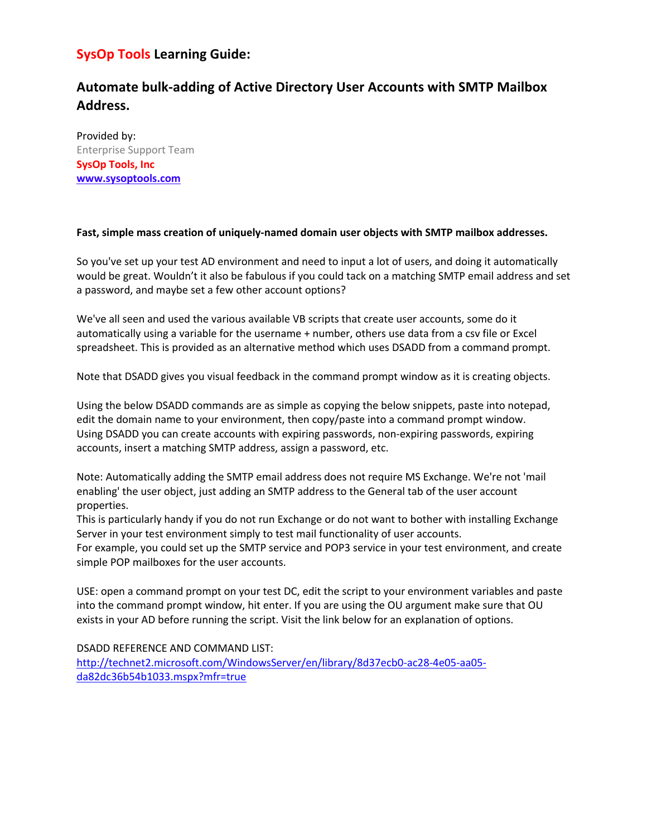# **SysOp Tools Learning Guide:**

# **Automate bulk-adding of Active Directory User Accounts with SMTP Mailbox Address.**

Provided by: Enterprise Support Team **SysOp Tools, Inc www.sysoptools.com** 

#### **Fast, simple mass creation of uniquely-named domain user objects with SMTP mailbox addresses.**

So you've set up your test AD environment and need to input a lot of users, and doing it automatically would be great. Wouldn't it also be fabulous if you could tack on a matching SMTP email address and set a password, and maybe set a few other account options?

We've all seen and used the various available VB scripts that create user accounts, some do it automatically using a variable for the username + number, others use data from a csv file or Excel spreadsheet. This is provided as an alternative method which uses DSADD from a command prompt.

Note that DSADD gives you visual feedback in the command prompt window as it is creating objects.

Using the below DSADD commands are as simple as copying the below snippets, paste into notepad, edit the domain name to your environment, then copy/paste into a command prompt window. Using DSADD you can create accounts with expiring passwords, non-expiring passwords, expiring accounts, insert a matching SMTP address, assign a password, etc.

Note: Automatically adding the SMTP email address does not require MS Exchange. We're not 'mail enabling' the user object, just adding an SMTP address to the General tab of the user account properties.

This is particularly handy if you do not run Exchange or do not want to bother with installing Exchange Server in your test environment simply to test mail functionality of user accounts.

For example, you could set up the SMTP service and POP3 service in your test environment, and create simple POP mailboxes for the user accounts.

USE: open a command prompt on your test DC, edit the script to your environment variables and paste into the command prompt window, hit enter. If you are using the OU argument make sure that OU exists in your AD before running the script. Visit the link below for an explanation of options.

DSADD REFERENCE AND COMMAND LIST:

http://technet2.microsoft.com/WindowsServer/en/library/8d37ecb0-ac28-4e05-aa05 da82dc36b54b1033.mspx?mfr=true